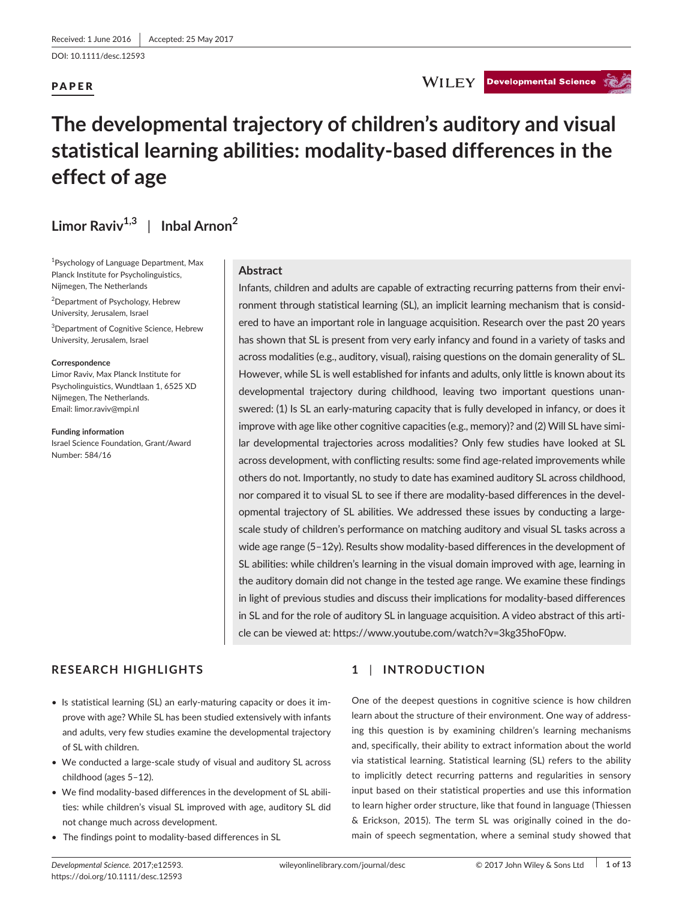DOI: 10.1111/desc.12593

## PAPER

## **WILEY** Developmental Science

# **The developmental trajectory of children's auditory and visual statistical learning abilities: modality-based differences in the effect of age**

## $Limor$  Raviv<sup>1,3</sup> | Inbal Arnon<sup>2</sup>

1 Psychology of Language Department, Max Planck Institute for Psycholinguistics, Nijmegen, The Netherlands

2 Department of Psychology, Hebrew University, Jerusalem, Israel

3 Department of Cognitive Science, Hebrew University, Jerusalem, Israel

#### **Correspondence**

Limor Raviv, Max Planck Institute for Psycholinguistics, Wundtlaan 1, 6525 XD Nijmegen, The Netherlands. Email: [limor.raviv@mpi.nl](mailto:limor.raviv@mpi.nl)

**Funding information** Israel Science Foundation, Grant/Award Number: 584/16

## **Abstract**

Infants, children and adults are capable of extracting recurring patterns from their environment through statistical learning (SL), an implicit learning mechanism that is considered to have an important role in language acquisition. Research over the past 20 years has shown that SL is present from very early infancy and found in a variety of tasks and across modalities (e.g., auditory, visual), raising questions on the domain generality of SL. However, while SL is well established for infants and adults, only little is known about its developmental trajectory during childhood, leaving two important questions unanswered: (1) Is SL an early-maturing capacity that is fully developed in infancy, or does it improve with age like other cognitive capacities (e.g., memory)? and (2) Will SL have similar developmental trajectories across modalities? Only few studies have looked at SL across development, with conflicting results: some find age-related improvements while others do not. Importantly, no study to date has examined auditory SL across childhood, nor compared it to visual SL to see if there are modality-based differences in the developmental trajectory of SL abilities. We addressed these issues by conducting a largescale study of children's performance on matching auditory and visual SL tasks across a wide age range (5–12y). Results show modality-based differences in the development of SL abilities: while children's learning in the visual domain improved with age, learning in the auditory domain did not change in the tested age range. We examine these findings in light of previous studies and discuss their implications for modality-based differences in SL and for the role of auditory SL in language acquisition. A video abstract of this article can be viewed at: <https://www.youtube.com/watch?v=3kg35hoF0pw>.

## **RESEARCH HIGHLIGHTS**

- Is statistical learning (SL) an early-maturing capacity or does it improve with age? While SL has been studied extensively with infants and adults, very few studies examine the developmental trajectory of SL with children.
- We conducted a large-scale study of visual and auditory SL across childhood (ages 5–12).
- We find modality-based differences in the development of SL abilities: while children's visual SL improved with age, auditory SL did not change much across development.
- The findings point to modality-based differences in SL

## **1** | **INTRODUCTION**

One of the deepest questions in cognitive science is how children learn about the structure of their environment. One way of addressing this question is by examining children's learning mechanisms and, specifically, their ability to extract information about the world via statistical learning. Statistical learning (SL) refers to the ability to implicitly detect recurring patterns and regularities in sensory input based on their statistical properties and use this information to learn higher order structure, like that found in language (Thiessen & Erickson, 2015). The term SL was originally coined in the domain of speech segmentation, where a seminal study showed that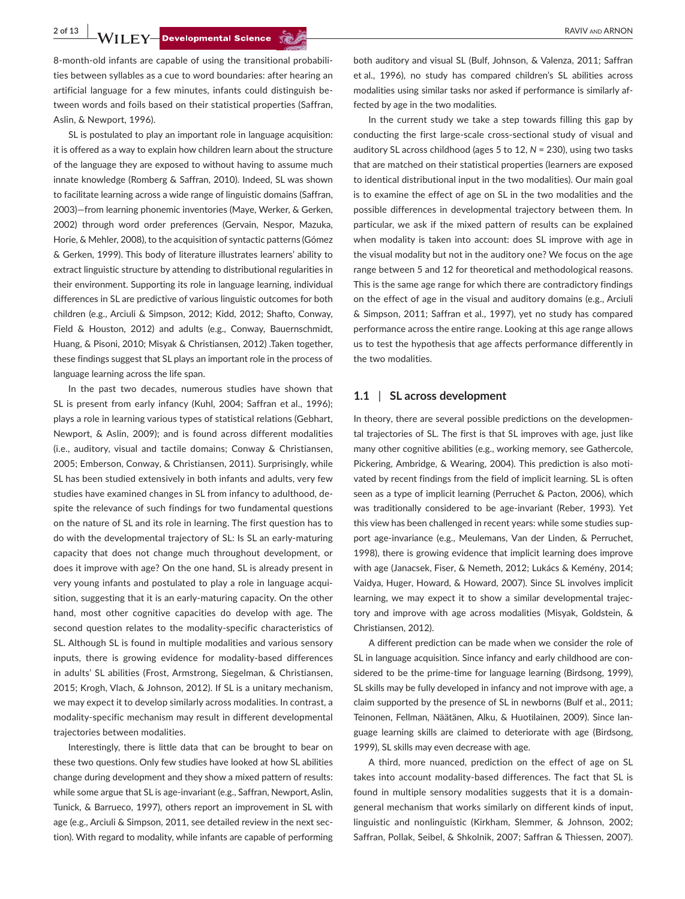**2 of 13 a**<br>**WILEY-Developmental Science ALLANDER ARROR ARNON RAVIV AND ARNON** 

8-month-old infants are capable of using the transitional probabilities between syllables as a cue to word boundaries: after hearing an artificial language for a few minutes, infants could distinguish between words and foils based on their statistical properties (Saffran, Aslin, & Newport, 1996).

SL is postulated to play an important role in language acquisition: it is offered as a way to explain how children learn about the structure of the language they are exposed to without having to assume much innate knowledge (Romberg & Saffran, 2010). Indeed, SL was shown to facilitate learning across a wide range of linguistic domains (Saffran, 2003)—from learning phonemic inventories (Maye, Werker, & Gerken, 2002) through word order preferences (Gervain, Nespor, Mazuka, Horie, & Mehler, 2008), to the acquisition of syntactic patterns (Gómez & Gerken, 1999). This body of literature illustrates learners' ability to extract linguistic structure by attending to distributional regularities in their environment. Supporting its role in language learning, individual differences in SL are predictive of various linguistic outcomes for both children (e.g., Arciuli & Simpson, 2012; Kidd, 2012; Shafto, Conway, Field & Houston, 2012) and adults (e.g., Conway, Bauernschmidt, Huang, & Pisoni, 2010; Misyak & Christiansen, 2012) .Taken together, these findings suggest that SL plays an important role in the process of language learning across the life span.

In the past two decades, numerous studies have shown that SL is present from early infancy (Kuhl, 2004; Saffran et al., 1996); plays a role in learning various types of statistical relations (Gebhart, Newport, & Aslin, 2009); and is found across different modalities (i.e., auditory, visual and tactile domains; Conway & Christiansen, 2005; Emberson, Conway, & Christiansen, 2011). Surprisingly, while SL has been studied extensively in both infants and adults, very few studies have examined changes in SL from infancy to adulthood, despite the relevance of such findings for two fundamental questions on the nature of SL and its role in learning. The first question has to do with the developmental trajectory of SL: Is SL an early-maturing capacity that does not change much throughout development, or does it improve with age? On the one hand, SL is already present in very young infants and postulated to play a role in language acquisition, suggesting that it is an early-maturing capacity. On the other hand, most other cognitive capacities do develop with age. The second question relates to the modality-specific characteristics of SL. Although SL is found in multiple modalities and various sensory inputs, there is growing evidence for modality-based differences in adults' SL abilities (Frost, Armstrong, Siegelman, & Christiansen, 2015; Krogh, Vlach, & Johnson, 2012). If SL is a unitary mechanism, we may expect it to develop similarly across modalities. In contrast, a modality-specific mechanism may result in different developmental trajectories between modalities.

Interestingly, there is little data that can be brought to bear on these two questions. Only few studies have looked at how SL abilities change during development and they show a mixed pattern of results: while some argue that SL is age-invariant (e.g., Saffran, Newport, Aslin, Tunick, & Barrueco, 1997), others report an improvement in SL with age (e.g., Arciuli & Simpson, 2011, see detailed review in the next section). With regard to modality, while infants are capable of performing

both auditory and visual SL (Bulf, Johnson, & Valenza, 2011; Saffran et al., 1996), no study has compared children's SL abilities across modalities using similar tasks nor asked if performance is similarly affected by age in the two modalities.

In the current study we take a step towards filling this gap by conducting the first large-scale cross-sectional study of visual and auditory SL across childhood (ages 5 to 12, *N* = 230), using two tasks that are matched on their statistical properties (learners are exposed to identical distributional input in the two modalities). Our main goal is to examine the effect of age on SL in the two modalities and the possible differences in developmental trajectory between them. In particular, we ask if the mixed pattern of results can be explained when modality is taken into account: does SL improve with age in the visual modality but not in the auditory one? We focus on the age range between 5 and 12 for theoretical and methodological reasons. This is the same age range for which there are contradictory findings on the effect of age in the visual and auditory domains (e.g., Arciuli & Simpson, 2011; Saffran et al., 1997), yet no study has compared performance across the entire range. Looking at this age range allows us to test the hypothesis that age affects performance differently in the two modalities.

#### **1.1** | **SL across development**

In theory, there are several possible predictions on the developmental trajectories of SL. The first is that SL improves with age, just like many other cognitive abilities (e.g., working memory, see Gathercole, Pickering, Ambridge, & Wearing, 2004). This prediction is also motivated by recent findings from the field of implicit learning. SL is often seen as a type of implicit learning (Perruchet & Pacton, 2006), which was traditionally considered to be age-invariant (Reber, 1993). Yet this view has been challenged in recent years: while some studies support age-invariance (e.g., Meulemans, Van der Linden, & Perruchet, 1998), there is growing evidence that implicit learning does improve with age (Janacsek, Fiser, & Nemeth, 2012; Lukács & Kemény, 2014; Vaidya, Huger, Howard, & Howard, 2007). Since SL involves implicit learning, we may expect it to show a similar developmental trajectory and improve with age across modalities (Misyak, Goldstein, & Christiansen, 2012).

A different prediction can be made when we consider the role of SL in language acquisition. Since infancy and early childhood are considered to be the prime-time for language learning (Birdsong, 1999), SL skills may be fully developed in infancy and not improve with age, a claim supported by the presence of SL in newborns (Bulf et al., 2011; Teinonen, Fellman, Näätänen, Alku, & Huotilainen, 2009). Since language learning skills are claimed to deteriorate with age (Birdsong, 1999), SL skills may even decrease with age.

A third, more nuanced, prediction on the effect of age on SL takes into account modality-based differences. The fact that SL is found in multiple sensory modalities suggests that it is a domaingeneral mechanism that works similarly on different kinds of input, linguistic and nonlinguistic (Kirkham, Slemmer, & Johnson, 2002; Saffran, Pollak, Seibel, & Shkolnik, 2007; Saffran & Thiessen, 2007).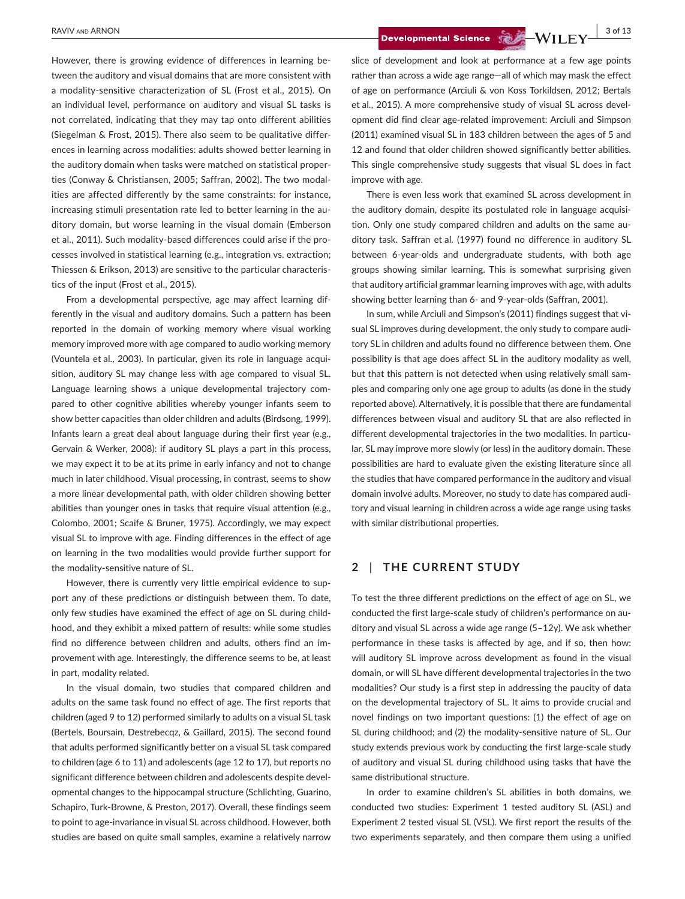However, there is growing evidence of differences in learning between the auditory and visual domains that are more consistent with a modality-sensitive characterization of SL (Frost et al., 2015). On an individual level, performance on auditory and visual SL tasks is not correlated, indicating that they may tap onto different abilities (Siegelman & Frost, 2015). There also seem to be qualitative differences in learning across modalities: adults showed better learning in the auditory domain when tasks were matched on statistical properties (Conway & Christiansen, 2005; Saffran, 2002). The two modalities are affected differently by the same constraints: for instance, increasing stimuli presentation rate led to better learning in the auditory domain, but worse learning in the visual domain (Emberson et al., 2011). Such modality-based differences could arise if the processes involved in statistical learning (e.g., integration vs. extraction; Thiessen & Erikson, 2013) are sensitive to the particular characteristics of the input (Frost et al., 2015).

From a developmental perspective, age may affect learning differently in the visual and auditory domains. Such a pattern has been reported in the domain of working memory where visual working memory improved more with age compared to audio working memory (Vountela et al., 2003). In particular, given its role in language acquisition, auditory SL may change less with age compared to visual SL. Language learning shows a unique developmental trajectory compared to other cognitive abilities whereby younger infants seem to show better capacities than older children and adults (Birdsong, 1999). Infants learn a great deal about language during their first year (e.g., Gervain & Werker, 2008): if auditory SL plays a part in this process, we may expect it to be at its prime in early infancy and not to change much in later childhood. Visual processing, in contrast, seems to show a more linear developmental path, with older children showing better abilities than younger ones in tasks that require visual attention (e.g., Colombo, 2001; Scaife & Bruner, 1975). Accordingly, we may expect visual SL to improve with age. Finding differences in the effect of age on learning in the two modalities would provide further support for the modality-sensitive nature of SL.

However, there is currently very little empirical evidence to support any of these predictions or distinguish between them. To date, only few studies have examined the effect of age on SL during childhood, and they exhibit a mixed pattern of results: while some studies find no difference between children and adults, others find an improvement with age. Interestingly, the difference seems to be, at least in part, modality related.

In the visual domain, two studies that compared children and adults on the same task found no effect of age. The first reports that children (aged 9 to 12) performed similarly to adults on a visual SL task (Bertels, Boursain, Destrebecqz, & Gaillard, 2015). The second found that adults performed significantly better on a visual SL task compared to children (age 6 to 11) and adolescents (age 12 to 17), but reports no significant difference between children and adolescents despite developmental changes to the hippocampal structure (Schlichting, Guarino, Schapiro, Turk-Browne, & Preston, 2017). Overall, these findings seem to point to age-invariance in visual SL across childhood. However, both studies are based on quite small samples, examine a relatively narrow

 **BAVIV** AND ARNON **3 of 13**<br>**Developmental Science WILEY** 

slice of development and look at performance at a few age points rather than across a wide age range—all of which may mask the effect of age on performance (Arciuli & von Koss Torkildsen, 2012; Bertals et al., 2015). A more comprehensive study of visual SL across development did find clear age-related improvement: Arciuli and Simpson (2011) examined visual SL in 183 children between the ages of 5 and 12 and found that older children showed significantly better abilities. This single comprehensive study suggests that visual SL does in fact improve with age.

There is even less work that examined SL across development in the auditory domain, despite its postulated role in language acquisition. Only one study compared children and adults on the same auditory task. Saffran et al. (1997) found no difference in auditory SL between 6-year-olds and undergraduate students, with both age groups showing similar learning. This is somewhat surprising given that auditory artificial grammar learning improves with age, with adults showing better learning than 6- and 9-year-olds (Saffran, 2001).

In sum, while Arciuli and Simpson's (2011) findings suggest that visual SL improves during development, the only study to compare auditory SL in children and adults found no difference between them. One possibility is that age does affect SL in the auditory modality as well, but that this pattern is not detected when using relatively small samples and comparing only one age group to adults (as done in the study reported above). Alternatively, it is possible that there are fundamental differences between visual and auditory SL that are also reflected in different developmental trajectories in the two modalities. In particular, SL may improve more slowly (or less) in the auditory domain. These possibilities are hard to evaluate given the existing literature since all the studies that have compared performance in the auditory and visual domain involve adults. Moreover, no study to date has compared auditory and visual learning in children across a wide age range using tasks with similar distributional properties.

## **2** | **THE CURRENT STUDY**

To test the three different predictions on the effect of age on SL, we conducted the first large-scale study of children's performance on auditory and visual SL across a wide age range (5–12y). We ask whether performance in these tasks is affected by age, and if so, then how: will auditory SL improve across development as found in the visual domain, or will SL have different developmental trajectories in the two modalities? Our study is a first step in addressing the paucity of data on the developmental trajectory of SL. It aims to provide crucial and novel findings on two important questions: (1) the effect of age on SL during childhood; and (2) the modality-sensitive nature of SL. Our study extends previous work by conducting the first large-scale study of auditory and visual SL during childhood using tasks that have the same distributional structure.

In order to examine children's SL abilities in both domains, we conducted two studies: Experiment 1 tested auditory SL (ASL) and Experiment 2 tested visual SL (VSL). We first report the results of the two experiments separately, and then compare them using a unified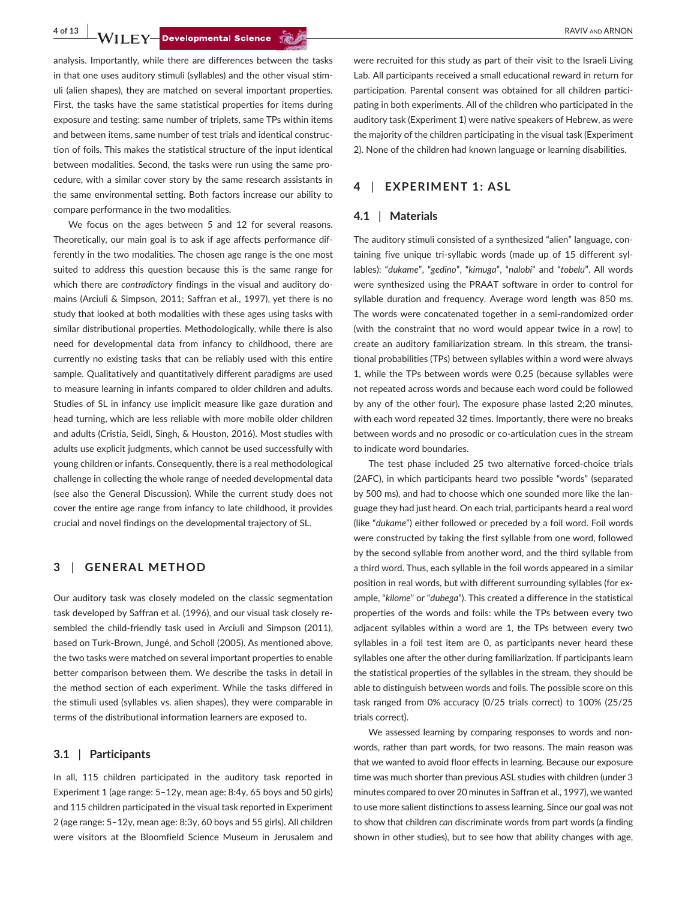**4 of 13 WILEY—Developmental Science**  $\frac{1}{2}$  **Property and ARNON** 

analysis. Importantly, while there are differences between the tasks in that one uses auditory stimuli (syllables) and the other visual stimuli (alien shapes), they are matched on several important properties. First, the tasks have the same statistical properties for items during exposure and testing: same number of triplets, same TPs within items and between items, same number of test trials and identical construction of foils. This makes the statistical structure of the input identical between modalities. Second, the tasks were run using the same procedure, with a similar cover story by the same research assistants in the same environmental setting. Both factors increase our ability to compare performance in the two modalities.

We focus on the ages between 5 and 12 for several reasons. Theoretically, our main goal is to ask if age affects performance differently in the two modalities. The chosen age range is the one most suited to address this question because this is the same range for which there are *contradictory* findings in the visual and auditory domains (Arciuli & Simpson, 2011; Saffran et al., 1997), yet there is no study that looked at both modalities with these ages using tasks with similar distributional properties. Methodologically, while there is also need for developmental data from infancy to childhood, there are currently no existing tasks that can be reliably used with this entire sample. Qualitatively and quantitatively different paradigms are used to measure learning in infants compared to older children and adults. Studies of SL in infancy use implicit measure like gaze duration and head turning, which are less reliable with more mobile older children and adults (Cristia, Seidl, Singh, & Houston, 2016). Most studies with adults use explicit judgments, which cannot be used successfully with young children or infants. Consequently, there is a real methodological challenge in collecting the whole range of needed developmental data (see also the General Discussion). While the current study does not cover the entire age range from infancy to late childhood, it provides crucial and novel findings on the developmental trajectory of SL.

#### **3** | **GENERAL METHOD**

Our auditory task was closely modeled on the classic segmentation task developed by Saffran et al. (1996), and our visual task closely resembled the child-friendly task used in Arciuli and Simpson (2011), based on Turk-Brown, Jungé, and Scholl (2005). As mentioned above, the two tasks were matched on several important properties to enable better comparison between them. We describe the tasks in detail in the method section of each experiment. While the tasks differed in the stimuli used (syllables vs. alien shapes), they were comparable in terms of the distributional information learners are exposed to.

#### **3.1** | **Participants**

In all, 115 children participated in the auditory task reported in Experiment 1 (age range: 5–12y, mean age: 8:4y, 65 boys and 50 girls) and 115 children participated in the visual task reported in Experiment 2 (age range: 5–12y, mean age: 8:3y, 60 boys and 55 girls). All children were visitors at the Bloomfield Science Museum in Jerusalem and

were recruited for this study as part of their visit to the Israeli Living Lab. All participants received a small educational reward in return for participation. Parental consent was obtained for all children participating in both experiments. All of the children who participated in the auditory task (Experiment 1) were native speakers of Hebrew, as were the majority of the children participating in the visual task (Experiment 2). None of the children had known language or learning disabilities.

#### **4** | **EXPERIMENT 1: ASL**

#### **4.1** | **Materials**

The auditory stimuli consisted of a synthesized "alien" language, containing five unique tri-syllabic words (made up of 15 different syllables): "*dukame*", "*gedino*", "*kimuga*", "*nalobi*" and "*tobelu*". All words were synthesized using the PRAAT software in order to control for syllable duration and frequency. Average word length was 850 ms. The words were concatenated together in a semi-randomized order (with the constraint that no word would appear twice in a row) to create an auditory familiarization stream. In this stream, the transitional probabilities (TPs) between syllables within a word were always 1, while the TPs between words were 0.25 (because syllables were not repeated across words and because each word could be followed by any of the other four). The exposure phase lasted 2;20 minutes, with each word repeated 32 times. Importantly, there were no breaks between words and no prosodic or co-articulation cues in the stream to indicate word boundaries.

The test phase included 25 two alternative forced-choice trials (2AFC), in which participants heard two possible "words" (separated by 500 ms), and had to choose which one sounded more like the language they had just heard. On each trial, participants heard a real word (like "*dukame*") either followed or preceded by a foil word. Foil words were constructed by taking the first syllable from one word, followed by the second syllable from another word, and the third syllable from a third word. Thus, each syllable in the foil words appeared in a similar position in real words, but with different surrounding syllables (for example, "*kilome*" or "*dubega*"). This created a difference in the statistical properties of the words and foils: while the TPs between every two adjacent syllables within a word are 1, the TPs between every two syllables in a foil test item are 0, as participants never heard these syllables one after the other during familiarization. If participants learn the statistical properties of the syllables in the stream, they should be able to distinguish between words and foils. The possible score on this task ranged from 0% accuracy (0/25 trials correct) to 100% (25/25 trials correct).

We assessed learning by comparing responses to words and nonwords, rather than part words, for two reasons. The main reason was that we wanted to avoid floor effects in learning. Because our exposure time was much shorter than previous ASL studies with children (under 3 minutes compared to over 20 minutes in Saffran et al., 1997), we wanted to use more salient distinctions to assess learning. Since our goal was not to show that children *can* discriminate words from part words (a finding shown in other studies), but to see how that ability changes with age,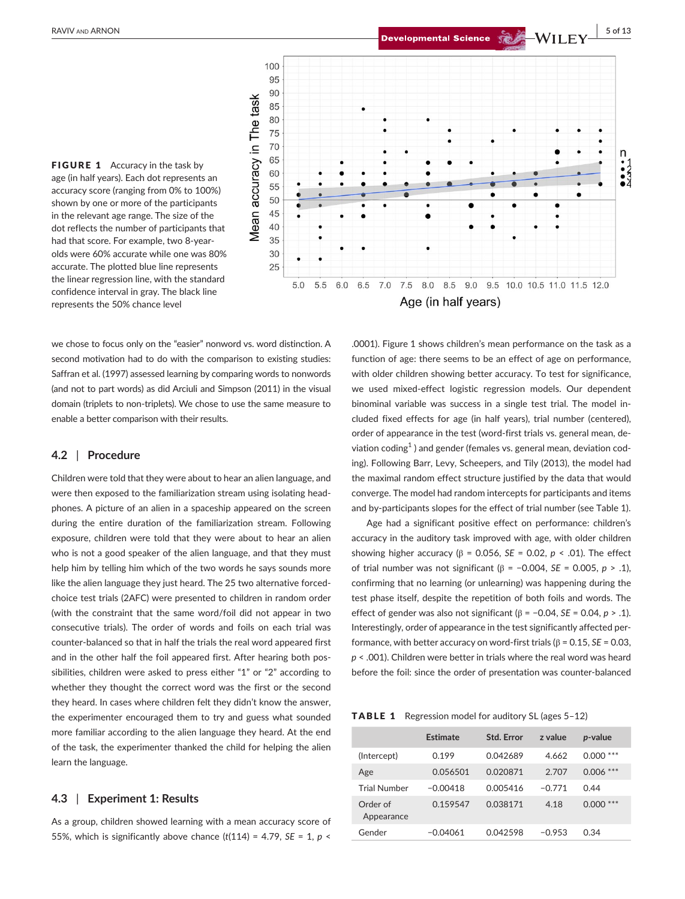**BAVIV** AND ARNON **1999 CONTROLLERY Developmental Science**  $\sum_{n=1}^{\infty}$  **WILEY** 5 of 13

FIGURE 1 Accuracy in the task by age (in half years). Each dot represents an accuracy score (ranging from 0% to 100%) shown by one or more of the participants in the relevant age range. The size of the dot reflects the number of participants that had that score. For example, two 8-yearolds were 60% accurate while one was 80% accurate. The plotted blue line represents the linear regression line, with the standard confidence interval in gray. The black line represents the 50% chance level



we chose to focus only on the "easier" nonword vs. word distinction. A second motivation had to do with the comparison to existing studies: Saffran et al. (1997) assessed learning by comparing words to nonwords (and not to part words) as did Arciuli and Simpson (2011) in the visual domain (triplets to non-triplets). We chose to use the same measure to enable a better comparison with their results.

#### **4.2** | **Procedure**

Children were told that they were about to hear an alien language, and were then exposed to the familiarization stream using isolating headphones. A picture of an alien in a spaceship appeared on the screen during the entire duration of the familiarization stream. Following exposure, children were told that they were about to hear an alien who is not a good speaker of the alien language, and that they must help him by telling him which of the two words he says sounds more like the alien language they just heard. The 25 two alternative forcedchoice test trials (2AFC) were presented to children in random order (with the constraint that the same word/foil did not appear in two consecutive trials). The order of words and foils on each trial was counter-balanced so that in half the trials the real word appeared first and in the other half the foil appeared first. After hearing both possibilities, children were asked to press either "1" or "2" according to whether they thought the correct word was the first or the second they heard. In cases where children felt they didn't know the answer, the experimenter encouraged them to try and guess what sounded more familiar according to the alien language they heard. At the end of the task, the experimenter thanked the child for helping the alien learn the language.

#### **4.3** | **Experiment 1: Results**

As a group, children showed learning with a mean accuracy score of 55%, which is significantly above chance  $(t(114) = 4.79, SE = 1, p <$ 

.0001). Figure 1 shows children's mean performance on the task as a function of age: there seems to be an effect of age on performance, with older children showing better accuracy. To test for significance, we used mixed-effect logistic regression models. Our dependent binominal variable was success in a single test trial. The model included fixed effects for age (in half years), trial number (centered), order of appearance in the test (word-first trials vs. general mean, deviation coding $^1$  ) and gender (females vs. general mean, deviation coding). Following Barr, Levy, Scheepers, and Tily (2013), the model had the maximal random effect structure justified by the data that would converge. The model had random intercepts for participants and items and by-participants slopes for the effect of trial number (see Table 1).

Age had a significant positive effect on performance: children's accuracy in the auditory task improved with age, with older children showing higher accuracy (β = 0.056, *SE* = 0.02, *p* < .01). The effect of trial number was not significant (β = −0.004, *SE* = 0.005, *p* > .1), confirming that no learning (or unlearning) was happening during the test phase itself, despite the repetition of both foils and words. The effect of gender was also not significant (β = −0.04, *SE* = 0.04, *p* > .1). Interestingly, order of appearance in the test significantly affected performance, with better accuracy on word-first trials (β = 0.15, *SE* = 0.03, *p* < .001). Children were better in trials where the real word was heard before the foil: since the order of presentation was counter-balanced

TABLE 1 Regression model for auditory SL (ages 5–12)

|                        | Estimate   | Std. Error | z value  | <i>p</i> -value |
|------------------------|------------|------------|----------|-----------------|
| (Intercept)            | 0.199      | 0.042689   | 4.662    | $0.000$ ***     |
| Age                    | 0.056501   | 0.020871   | 2.707    | $0.006***$      |
| <b>Trial Number</b>    | $-0.00418$ | 0.005416   | $-0.771$ | 0.44            |
| Order of<br>Appearance | 0.159547   | 0.038171   | 4.18     | ***<br>0.000    |
| Gender                 | $-0.04061$ | 0.042598   | $-0.953$ | 0.34            |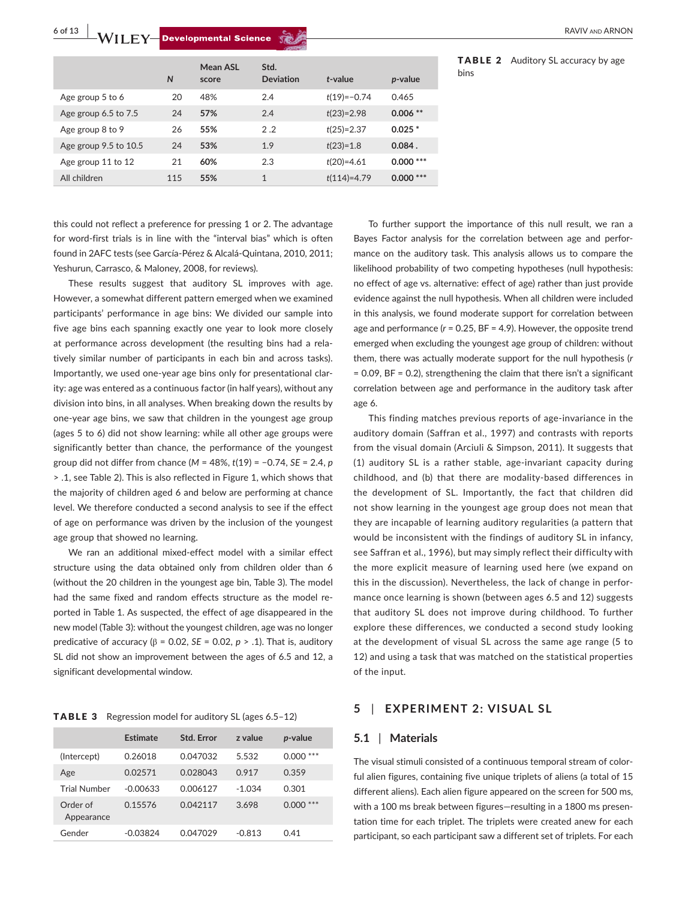**6 of 13 a**<br>**WILEY-Developmental Science Way and ARNON ARNON RAVIV AND ARNON** 

|                       | N   | <b>Mean ASL</b><br>score | Std.<br><b>Deviation</b> | $t$ -value      | p-value    |
|-----------------------|-----|--------------------------|--------------------------|-----------------|------------|
| Age group 5 to 6      | 20  | 48%                      | 2.4                      | $t(19) = -0.74$ | 0.465      |
| Age group 6.5 to 7.5  | 24  | 57%                      | 2.4                      | $t(23)=2.98$    | $0.006**$  |
| Age group 8 to 9      | 26  | 55%                      | 2.2                      | $t(25)=2.37$    | $0.025*$   |
| Age group 9.5 to 10.5 | 24  | 53%                      | 1.9                      | $t(23)=1.8$     | $0.084$ .  |
| Age group 11 to 12    | 21  | 60%                      | 2.3                      | $t(20)=4.61$    | $0.000***$ |
| All children          | 115 | 55%                      | $\mathbf{1}$             | $t(114)=4.79$   | $0.000***$ |
|                       |     |                          |                          |                 |            |

TABLE 2 Auditory SL accuracy by age bins

this could not reflect a preference for pressing 1 or 2. The advantage for word-first trials is in line with the "interval bias" which is often found in 2AFC tests (see García-Pérez & Alcalá-Quintana, 2010, 2011; Yeshurun, Carrasco, & Maloney, 2008, for reviews).

These results suggest that auditory SL improves with age. However, a somewhat different pattern emerged when we examined participants' performance in age bins: We divided our sample into five age bins each spanning exactly one year to look more closely at performance across development (the resulting bins had a relatively similar number of participants in each bin and across tasks). Importantly, we used one-year age bins only for presentational clarity: age was entered as a continuous factor (in half years), without any division into bins, in all analyses. When breaking down the results by one-year age bins, we saw that children in the youngest age group (ages 5 to 6) did not show learning: while all other age groups were significantly better than chance, the performance of the youngest group did not differ from chance (*M* = 48%, *t*(19) = −0.74, *SE* = 2.4, *p* > .1, see Table 2). This is also reflected in Figure 1, which shows that the majority of children aged 6 and below are performing at chance level. We therefore conducted a second analysis to see if the effect of age on performance was driven by the inclusion of the youngest age group that showed no learning.

We ran an additional mixed-effect model with a similar effect structure using the data obtained only from children older than 6 (without the 20 children in the youngest age bin, Table 3). The model had the same fixed and random effects structure as the model reported in Table 1. As suspected, the effect of age disappeared in the new model (Table 3): without the youngest children, age was no longer predicative of accuracy (β = 0.02, *SE* = 0.02, *p* > .1). That is, auditory SL did not show an improvement between the ages of 6.5 and 12, a significant developmental window.

| <b>TABLE 3</b> Regression model for auditory SL (ages 6.5-12) |  |
|---------------------------------------------------------------|--|
|---------------------------------------------------------------|--|

|                        | Estimate   | <b>Std. Error</b> | z value  | p-value      |
|------------------------|------------|-------------------|----------|--------------|
| (Intercept)            | 0.26018    | 0.047032          | 5.532    | $0.000***$   |
| Age                    | 0.02571    | 0.028043          | 0.917    | 0.359        |
| <b>Trial Number</b>    | $-0.00633$ | 0.006127          | $-1.034$ | 0.301        |
| Order of<br>Appearance | 0.15576    | 0.042117          | 3.698    | ***<br>0.000 |
| Gender                 | $-0.03824$ | 0.047029          | $-0.813$ | 0.41         |

To further support the importance of this null result, we ran a Bayes Factor analysis for the correlation between age and performance on the auditory task. This analysis allows us to compare the likelihood probability of two competing hypotheses (null hypothesis: no effect of age vs. alternative: effect of age) rather than just provide evidence against the null hypothesis. When all children were included in this analysis, we found moderate support for correlation between age and performance (*r* = 0.25, BF = 4.9). However, the opposite trend emerged when excluding the youngest age group of children: without them, there was actually moderate support for the null hypothesis (*r*  $= 0.09$ , BF  $= 0.2$ ), strengthening the claim that there isn't a significant correlation between age and performance in the auditory task after age 6.

This finding matches previous reports of age-invariance in the auditory domain (Saffran et al., 1997) and contrasts with reports from the visual domain (Arciuli & Simpson, 2011). It suggests that (1) auditory SL is a rather stable, age-invariant capacity during childhood, and (b) that there are modality-based differences in the development of SL. Importantly, the fact that children did not show learning in the youngest age group does not mean that they are incapable of learning auditory regularities (a pattern that would be inconsistent with the findings of auditory SL in infancy, see Saffran et al., 1996), but may simply reflect their difficulty with the more explicit measure of learning used here (we expand on this in the discussion). Nevertheless, the lack of change in performance once learning is shown (between ages 6.5 and 12) suggests that auditory SL does not improve during childhood. To further explore these differences, we conducted a second study looking at the development of visual SL across the same age range (5 to 12) and using a task that was matched on the statistical properties of the input.

#### **5** | **EXPERIMENT 2: VISUAL SL**

#### **5.1** | **Materials**

The visual stimuli consisted of a continuous temporal stream of colorful alien figures, containing five unique triplets of aliens (a total of 15 different aliens). Each alien figure appeared on the screen for 500 ms, with a 100 ms break between figures—resulting in a 1800 ms presentation time for each triplet. The triplets were created anew for each participant, so each participant saw a different set of triplets. For each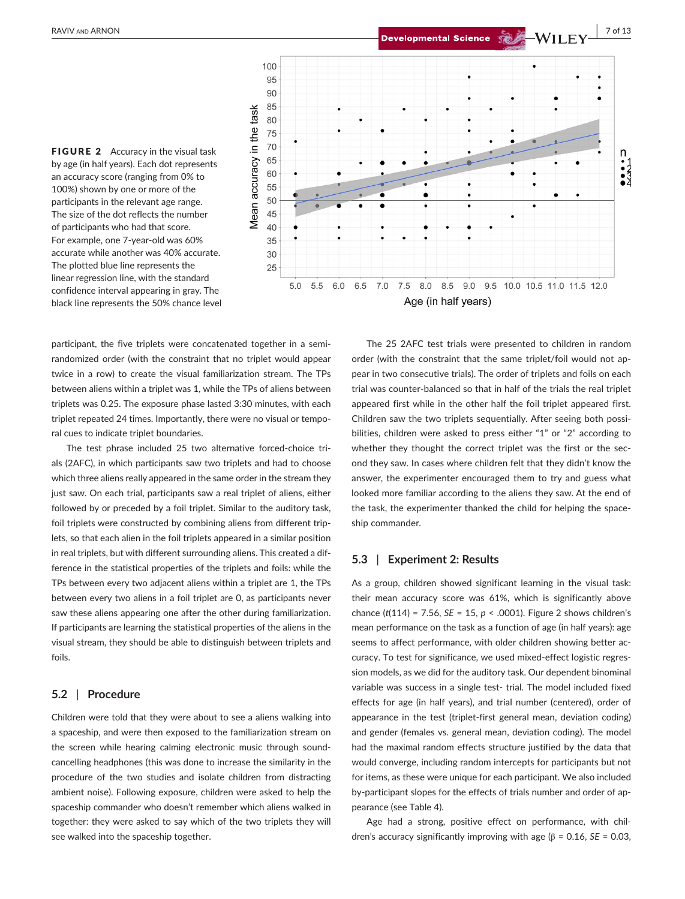**RAVIV** and ARNON **1999 1999 1999 1999 1999 1999 1999 1999 1999 1999 1999 1999 1999 1999 1999 1999 1999 1999 1999 1999 1999 1999 1999 1999 1999 1999 1999 1999 1999**

FIGURE 2 Accuracy in the visual task by age (in half years). Each dot represents an accuracy score (ranging from 0% to 100%) shown by one or more of the participants in the relevant age range. The size of the dot reflects the number of participants who had that score. For example, one 7-year-old was 60% accurate while another was 40% accurate. The plotted blue line represents the linear regression line, with the standard confidence interval appearing in gray. The black line represents the 50% chance level



participant, the five triplets were concatenated together in a semirandomized order (with the constraint that no triplet would appear twice in a row) to create the visual familiarization stream. The TPs between aliens within a triplet was 1, while the TPs of aliens between triplets was 0.25. The exposure phase lasted 3:30 minutes, with each triplet repeated 24 times. Importantly, there were no visual or temporal cues to indicate triplet boundaries.

The test phrase included 25 two alternative forced-choice trials (2AFC), in which participants saw two triplets and had to choose which three aliens really appeared in the same order in the stream they just saw. On each trial, participants saw a real triplet of aliens, either followed by or preceded by a foil triplet. Similar to the auditory task, foil triplets were constructed by combining aliens from different triplets, so that each alien in the foil triplets appeared in a similar position in real triplets, but with different surrounding aliens. This created a difference in the statistical properties of the triplets and foils: while the TPs between every two adjacent aliens within a triplet are 1, the TPs between every two aliens in a foil triplet are 0, as participants never saw these aliens appearing one after the other during familiarization. If participants are learning the statistical properties of the aliens in the visual stream, they should be able to distinguish between triplets and foils.

#### **5.2** | **Procedure**

Children were told that they were about to see a aliens walking into a spaceship, and were then exposed to the familiarization stream on the screen while hearing calming electronic music through soundcancelling headphones (this was done to increase the similarity in the procedure of the two studies and isolate children from distracting ambient noise). Following exposure, children were asked to help the spaceship commander who doesn't remember which aliens walked in together: they were asked to say which of the two triplets they will see walked into the spaceship together.

The 25 2AFC test trials were presented to children in random order (with the constraint that the same triplet/foil would not appear in two consecutive trials). The order of triplets and foils on each trial was counter-balanced so that in half of the trials the real triplet appeared first while in the other half the foil triplet appeared first. Children saw the two triplets sequentially. After seeing both possibilities, children were asked to press either "1" or "2" according to whether they thought the correct triplet was the first or the second they saw. In cases where children felt that they didn't know the answer, the experimenter encouraged them to try and guess what looked more familiar according to the aliens they saw. At the end of the task, the experimenter thanked the child for helping the spaceship commander.

#### **5.3** | **Experiment 2: Results**

As a group, children showed significant learning in the visual task: their mean accuracy score was 61%, which is significantly above chance (*t*(114) = 7.56, *SE* = 15, *p* < .0001). Figure 2 shows children's mean performance on the task as a function of age (in half years): age seems to affect performance, with older children showing better accuracy. To test for significance, we used mixed-effect logistic regression models, as we did for the auditory task. Our dependent binominal variable was success in a single test- trial. The model included fixed effects for age (in half years), and trial number (centered), order of appearance in the test (triplet-first general mean, deviation coding) and gender (females vs. general mean, deviation coding). The model had the maximal random effects structure justified by the data that would converge, including random intercepts for participants but not for items, as these were unique for each participant. We also included by-participant slopes for the effects of trials number and order of appearance (see Table 4).

Age had a strong, positive effect on performance, with children's accuracy significantly improving with age (β = 0.16, *SE* = 0.03,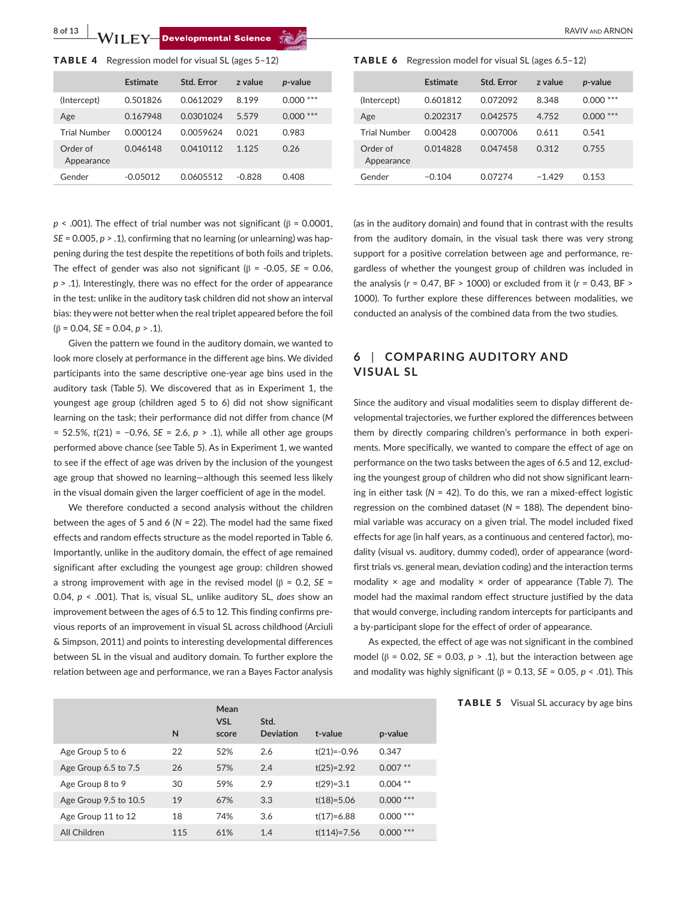**8 of 13 a**<br>**b a**<br>**b a**<br>**a**<br>**b a**<br>**c**<br>**b a**<br>**c**<br>**c**<br>**c**<br>**c**<br>**c**<br>**d a**<br><br>**c**<br>**c**<br>**d a**<br><br><br><br><br><br><br><br><br><br><br><br><br><br><br><br><br><br><br><br><br><br><br><br><br><br><br><br><br><br><br><br><br><br>

|  |  |  |  |  |  | <b>TABLE 4</b> Regression model for visual SL (ages $5-12$ ) |  |  |  |  |  |  |  |
|--|--|--|--|--|--|--------------------------------------------------------------|--|--|--|--|--|--|--|
|--|--|--|--|--|--|--------------------------------------------------------------|--|--|--|--|--|--|--|

|                        | Estimate   | Std. Error | z value  | <i>p</i> -value |
|------------------------|------------|------------|----------|-----------------|
| (Intercept)            | 0.501826   | 0.0612029  | 8.199    | ***<br>0.000    |
| Age                    | 0.167948   | 0.0301024  | 5.579    | ***<br>0.000    |
| <b>Trial Number</b>    | 0.000124   | 0.0059624  | 0.021    | 0.983           |
| Order of<br>Appearance | 0.046148   | 0.0410112  | 1.125    | 0.26            |
| Gender                 | $-0.05012$ | 0.0605512  | $-0.828$ | 0.408           |

 *< .001). The effect of trial number was not significant (* $β$  *= 0.0001, SE* = 0.005, *p* > .1), confirming that no learning (or unlearning) was happening during the test despite the repetitions of both foils and triplets. The effect of gender was also not significant ( $\beta$  = -0.05, *SE* = 0.06, *p* > .1). Interestingly, there was no effect for the order of appearance in the test: unlike in the auditory task children did not show an interval bias: they were not better when the real triplet appeared before the foil (β = 0.04, *SE* = 0.04, *p* > .1).

Given the pattern we found in the auditory domain, we wanted to look more closely at performance in the different age bins. We divided participants into the same descriptive one-year age bins used in the auditory task (Table 5). We discovered that as in Experiment 1, the youngest age group (children aged 5 to 6) did not show significant learning on the task; their performance did not differ from chance (*M* = 52.5%, *t*(21) = −0.96, *SE* = 2.6, *p* > .1), while all other age groups performed above chance (see Table 5). As in Experiment 1, we wanted to see if the effect of age was driven by the inclusion of the youngest age group that showed no learning—although this seemed less likely in the visual domain given the larger coefficient of age in the model.

We therefore conducted a second analysis without the children between the ages of 5 and 6 (*N* = 22). The model had the same fixed effects and random effects structure as the model reported in Table 6. Importantly, unlike in the auditory domain, the effect of age remained significant after excluding the youngest age group: children showed a strong improvement with age in the revised model ( $β = 0.2$ , *SE* = 0.04, *p* < .001). That is, visual SL, unlike auditory SL, *does* show an improvement between the ages of 6.5 to 12. This finding confirms previous reports of an improvement in visual SL across childhood (Arciuli & Simpson, 2011) and points to interesting developmental differences between SL in the visual and auditory domain. To further explore the relation between age and performance, we ran a Bayes Factor analysis

TABLE 6 Regression model for visual SL (ages 6.5–12)

|                        | Estimate | Std. Error | z value  | p-value      |
|------------------------|----------|------------|----------|--------------|
| (Intercept)            | 0.601812 | 0.072092   | 8.348    | 0.000        |
| Age                    | 0.202317 | 0.042575   | 4.752    | ***<br>0.000 |
| <b>Trial Number</b>    | 0.00428  | 0.007006   | 0.611    | 0.541        |
| Order of<br>Appearance | 0.014828 | 0.047458   | 0.312    | 0.755        |
| Gender                 | $-0.104$ | 0.07274    | $-1.429$ | 0.153        |

(as in the auditory domain) and found that in contrast with the results from the auditory domain, in the visual task there was very strong support for a positive correlation between age and performance, regardless of whether the youngest group of children was included in the analysis (*r* = 0.47, BF > 1000) or excluded from it (*r* = 0.43, BF > 1000). To further explore these differences between modalities, we conducted an analysis of the combined data from the two studies.

## **6** | **COMPARING AUDITORY AND VISUAL SL**

Since the auditory and visual modalities seem to display different developmental trajectories, we further explored the differences between them by directly comparing children's performance in both experiments. More specifically, we wanted to compare the effect of age on performance on the two tasks between the ages of 6.5 and 12, excluding the youngest group of children who did not show significant learning in either task (*N* = 42). To do this, we ran a mixed-effect logistic regression on the combined dataset (*N* = 188). The dependent binomial variable was accuracy on a given trial. The model included fixed effects for age (in half years, as a continuous and centered factor), modality (visual vs. auditory, dummy coded), order of appearance (wordfirst trials vs. general mean, deviation coding) and the interaction terms modality  $\times$  age and modality  $\times$  order of appearance (Table 7). The model had the maximal random effect structure justified by the data that would converge, including random intercepts for participants and a by-participant slope for the effect of order of appearance.

As expected, the effect of age was not significant in the combined model ( $β = 0.02$ , *SE* = 0.03,  $p > .1$ ), but the interaction between age and modality was highly significant (β = 0.13, *SE* = 0.05, *p* < .01). This

TABLE 5 Visual SL accuracy by age bins

|                       | N   | Mean<br><b>VSL</b><br>score | Std.<br><b>Deviation</b> | t-value         | p-value    |
|-----------------------|-----|-----------------------------|--------------------------|-----------------|------------|
| Age Group 5 to 6      | 22  | 52%                         | 2.6                      | $t(21) = -0.96$ | 0.347      |
| Age Group 6.5 to 7.5  | 26  | 57%                         | 2.4                      | $t(25)=2.92$    | $0.007**$  |
| Age Group 8 to 9      | 30  | 59%                         | 2.9                      | $t(29)=3.1$     | $0.004$ ** |
| Age Group 9.5 to 10.5 | 19  | 67%                         | 3.3                      | $t(18)=5.06$    | $0.000***$ |
| Age Group 11 to 12    | 18  | 74%                         | 3.6                      | $t(17)=6.88$    | $0.000***$ |
| All Children          | 115 | 61%                         | 1.4                      | $t(114)=7.56$   | $0.000***$ |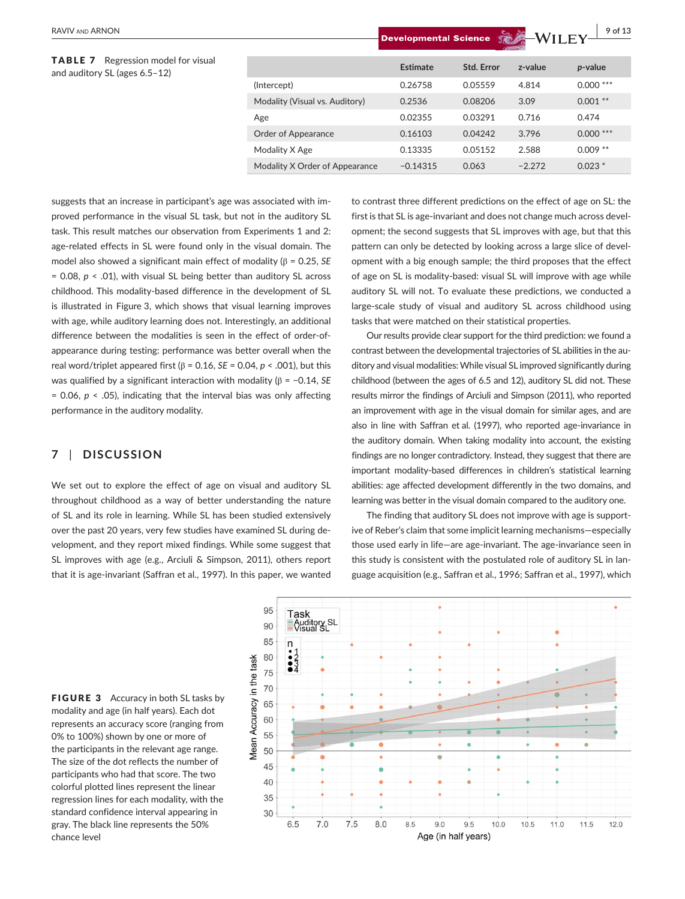TABLE 7 Regression model for visual and auditory SL (ages 6.5-12)

|                                | Estimate   | Std. Error | z-value  | p-value    |  |  |
|--------------------------------|------------|------------|----------|------------|--|--|
| (Intercept)                    | 0.26758    | 0.05559    | 4.814    | $0.000***$ |  |  |
| Modality (Visual vs. Auditory) | 0.2536     | 0.08206    | 3.09     | $0.001$ ** |  |  |
| Age                            | 0.02355    | 0.03291    | 0.716    | 0.474      |  |  |
| Order of Appearance            | 0.16103    | 0.04242    | 3.796    | $0.000***$ |  |  |
| Modality X Age                 | 0.13335    | 0.05152    | 2.588    | $0.009$ ** |  |  |
| Modality X Order of Appearance | $-0.14315$ | 0.063      | $-2.272$ | $0.023*$   |  |  |
|                                |            |            |          |            |  |  |

suggests that an increase in participant's age was associated with improved performance in the visual SL task, but not in the auditory SL task. This result matches our observation from Experiments 1 and 2: age-related effects in SL were found only in the visual domain. The model also showed a significant main effect of modality (β = 0.25, *SE* = 0.08, *p* < .01), with visual SL being better than auditory SL across childhood. This modality-based difference in the development of SL is illustrated in Figure 3, which shows that visual learning improves with age, while auditory learning does not. Interestingly, an additional difference between the modalities is seen in the effect of order-ofappearance during testing: performance was better overall when the real word/triplet appeared first (β = 0.16, *SE* = 0.04, *p* < .001), but this was qualified by a significant interaction with modality (β = −0.14, *SE* = 0.06, *p* < .05), indicating that the interval bias was only affecting performance in the auditory modality.

## **7** | **DISCUSSION**

We set out to explore the effect of age on visual and auditory SL throughout childhood as a way of better understanding the nature of SL and its role in learning. While SL has been studied extensively over the past 20 years, very few studies have examined SL during development, and they report mixed findings. While some suggest that SL improves with age (e.g., Arciuli & Simpson, 2011), others report that it is age-invariant (Saffran et al., 1997). In this paper, we wanted to contrast three different predictions on the effect of age on SL: the first is that SL is age-invariant and does not change much across development; the second suggests that SL improves with age, but that this pattern can only be detected by looking across a large slice of development with a big enough sample; the third proposes that the effect of age on SL is modality-based: visual SL will improve with age while auditory SL will not. To evaluate these predictions, we conducted a large-scale study of visual and auditory SL across childhood using tasks that were matched on their statistical properties.

Our results provide clear support for the third prediction: we found a contrast between the developmental trajectories of SL abilities in the auditory and visual modalities: While visual SL improved significantly during childhood (between the ages of 6.5 and 12), auditory SL did not. These results mirror the findings of Arciuli and Simpson (2011), who reported an improvement with age in the visual domain for similar ages, and are also in line with Saffran et al. (1997), who reported age-invariance in the auditory domain. When taking modality into account, the existing findings are no longer contradictory. Instead, they suggest that there are important modality-based differences in children's statistical learning abilities: age affected development differently in the two domains, and learning was better in the visual domain compared to the auditory one.

The finding that auditory SL does not improve with age is supportive of Reber's claim that some implicit learning mechanisms—especially those used early in life—are age-invariant. The age-invariance seen in this study is consistent with the postulated role of auditory SL in language acquisition (e.g., Saffran et al., 1996; Saffran et al., 1997), which

FIGURE 3 Accuracy in both SL tasks by modality and age (in half years). Each dot represents an accuracy score (ranging from 0% to 100%) shown by one or more of the participants in the relevant age range. The size of the dot reflects the number of participants who had that score. The two colorful plotted lines represent the linear regression lines for each modality, with the standard confidence interval appearing in gray. The black line represents the 50% chance level

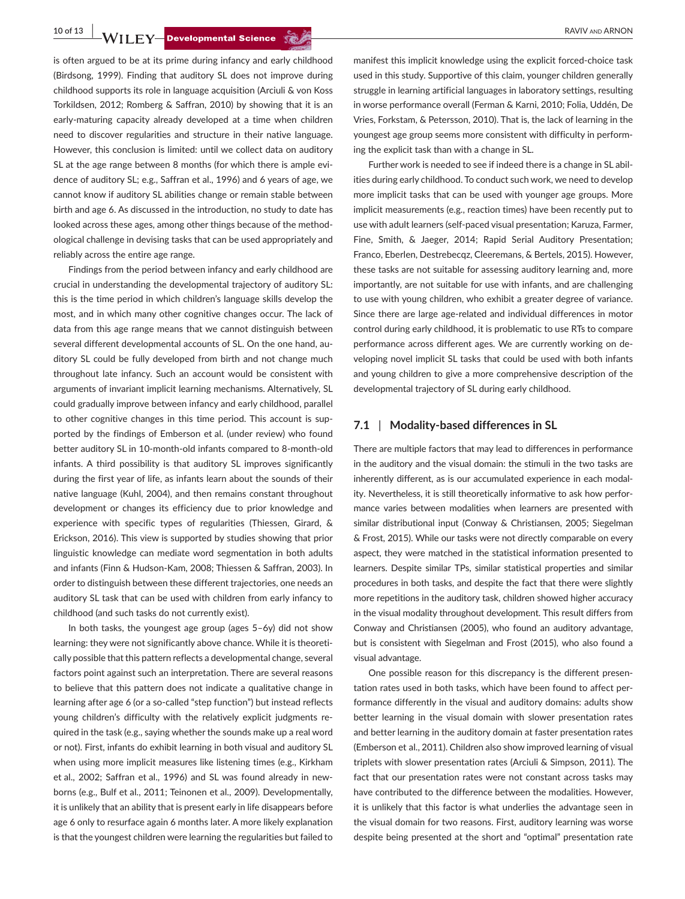is often argued to be at its prime during infancy and early childhood (Birdsong, 1999). Finding that auditory SL does not improve during childhood supports its role in language acquisition (Arciuli & von Koss Torkildsen, 2012; Romberg & Saffran, 2010) by showing that it is an early-maturing capacity already developed at a time when children need to discover regularities and structure in their native language. However, this conclusion is limited: until we collect data on auditory SL at the age range between 8 months (for which there is ample evidence of auditory SL; e.g., Saffran et al., 1996) and 6 years of age, we cannot know if auditory SL abilities change or remain stable between birth and age 6. As discussed in the introduction, no study to date has looked across these ages, among other things because of the methodological challenge in devising tasks that can be used appropriately and reliably across the entire age range.

Findings from the period between infancy and early childhood are crucial in understanding the developmental trajectory of auditory SL: this is the time period in which children's language skills develop the most, and in which many other cognitive changes occur. The lack of data from this age range means that we cannot distinguish between several different developmental accounts of SL. On the one hand, auditory SL could be fully developed from birth and not change much throughout late infancy. Such an account would be consistent with arguments of invariant implicit learning mechanisms. Alternatively, SL could gradually improve between infancy and early childhood, parallel to other cognitive changes in this time period. This account is supported by the findings of Emberson et al. (under review) who found better auditory SL in 10-month-old infants compared to 8-month-old infants. A third possibility is that auditory SL improves significantly during the first year of life, as infants learn about the sounds of their native language (Kuhl, 2004), and then remains constant throughout development or changes its efficiency due to prior knowledge and experience with specific types of regularities (Thiessen, Girard, & Erickson, 2016). This view is supported by studies showing that prior linguistic knowledge can mediate word segmentation in both adults and infants (Finn & Hudson-Kam, 2008; Thiessen & Saffran, 2003). In order to distinguish between these different trajectories, one needs an auditory SL task that can be used with children from early infancy to childhood (and such tasks do not currently exist).

In both tasks, the youngest age group (ages 5–6y) did not show learning: they were not significantly above chance. While it is theoretically possible that this pattern reflects a developmental change, several factors point against such an interpretation. There are several reasons to believe that this pattern does not indicate a qualitative change in learning after age 6 (or a so-called "step function") but instead reflects young children's difficulty with the relatively explicit judgments required in the task (e.g., saying whether the sounds make up a real word or not). First, infants do exhibit learning in both visual and auditory SL when using more implicit measures like listening times (e.g., Kirkham et al., 2002; Saffran et al., 1996) and SL was found already in newborns (e.g., Bulf et al., 2011; Teinonen et al., 2009). Developmentally, it is unlikely that an ability that is present early in life disappears before age 6 only to resurface again 6 months later. A more likely explanation is that the youngest children were learning the regularities but failed to

manifest this implicit knowledge using the explicit forced-choice task used in this study. Supportive of this claim, younger children generally struggle in learning artificial languages in laboratory settings, resulting in worse performance overall (Ferman & Karni, 2010; Folia, Uddén, De Vries, Forkstam, & Petersson, 2010). That is, the lack of learning in the youngest age group seems more consistent with difficulty in performing the explicit task than with a change in SL.

Further work is needed to see if indeed there is a change in SL abilities during early childhood. To conduct such work, we need to develop more implicit tasks that can be used with younger age groups. More implicit measurements (e.g., reaction times) have been recently put to use with adult learners (self-paced visual presentation; Karuza, Farmer, Fine, Smith, & Jaeger, 2014; Rapid Serial Auditory Presentation; Franco, Eberlen, Destrebecqz, Cleeremans, & Bertels, 2015). However, these tasks are not suitable for assessing auditory learning and, more importantly, are not suitable for use with infants, and are challenging to use with young children, who exhibit a greater degree of variance. Since there are large age-related and individual differences in motor control during early childhood, it is problematic to use RTs to compare performance across different ages. We are currently working on developing novel implicit SL tasks that could be used with both infants and young children to give a more comprehensive description of the developmental trajectory of SL during early childhood.

#### **7.1** | **Modality-based differences in SL**

There are multiple factors that may lead to differences in performance in the auditory and the visual domain: the stimuli in the two tasks are inherently different, as is our accumulated experience in each modality. Nevertheless, it is still theoretically informative to ask how performance varies between modalities when learners are presented with similar distributional input (Conway & Christiansen, 2005; Siegelman & Frost, 2015). While our tasks were not directly comparable on every aspect, they were matched in the statistical information presented to learners. Despite similar TPs, similar statistical properties and similar procedures in both tasks, and despite the fact that there were slightly more repetitions in the auditory task, children showed higher accuracy in the visual modality throughout development. This result differs from Conway and Christiansen (2005), who found an auditory advantage, but is consistent with Siegelman and Frost (2015), who also found a visual advantage.

One possible reason for this discrepancy is the different presentation rates used in both tasks, which have been found to affect performance differently in the visual and auditory domains: adults show better learning in the visual domain with slower presentation rates and better learning in the auditory domain at faster presentation rates (Emberson et al., 2011). Children also show improved learning of visual triplets with slower presentation rates (Arciuli & Simpson, 2011). The fact that our presentation rates were not constant across tasks may have contributed to the difference between the modalities. However, it is unlikely that this factor is what underlies the advantage seen in the visual domain for two reasons. First, auditory learning was worse despite being presented at the short and "optimal" presentation rate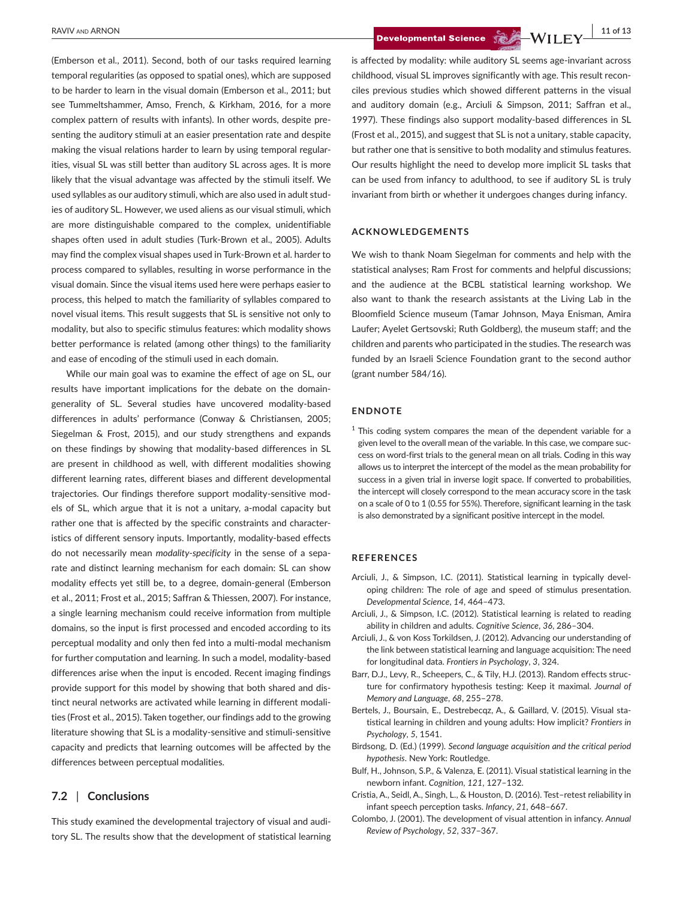(Emberson et al., 2011). Second, both of our tasks required learning temporal regularities (as opposed to spatial ones), which are supposed to be harder to learn in the visual domain (Emberson et al., 2011; but see Tummeltshammer, Amso, French, & Kirkham, 2016, for a more complex pattern of results with infants). In other words, despite presenting the auditory stimuli at an easier presentation rate and despite making the visual relations harder to learn by using temporal regularities, visual SL was still better than auditory SL across ages. It is more likely that the visual advantage was affected by the stimuli itself. We used syllables as our auditory stimuli, which are also used in adult studies of auditory SL. However, we used aliens as our visual stimuli, which are more distinguishable compared to the complex, unidentifiable shapes often used in adult studies (Turk-Brown et al., 2005). Adults may find the complex visual shapes used in Turk-Brown et al. harder to process compared to syllables, resulting in worse performance in the visual domain. Since the visual items used here were perhaps easier to process, this helped to match the familiarity of syllables compared to novel visual items. This result suggests that SL is sensitive not only to modality, but also to specific stimulus features: which modality shows better performance is related (among other things) to the familiarity and ease of encoding of the stimuli used in each domain.

While our main goal was to examine the effect of age on SL, our results have important implications for the debate on the domaingenerality of SL. Several studies have uncovered modality-based differences in adults' performance (Conway & Christiansen, 2005; Siegelman & Frost, 2015), and our study strengthens and expands on these findings by showing that modality-based differences in SL are present in childhood as well, with different modalities showing different learning rates, different biases and different developmental trajectories. Our findings therefore support modality-sensitive models of SL, which argue that it is not a unitary, a-modal capacity but rather one that is affected by the specific constraints and characteristics of different sensory inputs. Importantly, modality-based effects do not necessarily mean *modality-specificity* in the sense of a separate and distinct learning mechanism for each domain: SL can show modality effects yet still be, to a degree, domain-general (Emberson et al., 2011; Frost et al., 2015; Saffran & Thiessen, 2007). For instance, a single learning mechanism could receive information from multiple domains, so the input is first processed and encoded according to its perceptual modality and only then fed into a multi-modal mechanism for further computation and learning. In such a model, modality-based differences arise when the input is encoded. Recent imaging findings provide support for this model by showing that both shared and distinct neural networks are activated while learning in different modalities (Frost et al., 2015). Taken together, our findings add to the growing literature showing that SL is a modality-sensitive and stimuli-sensitive capacity and predicts that learning outcomes will be affected by the differences between perceptual modalities.

#### **7.2** | **Conclusions**

This study examined the developmental trajectory of visual and auditory SL. The results show that the development of statistical learning

 **BAVIV** AND ARNON **11 of 13** 

is affected by modality: while auditory SL seems age-invariant across childhood, visual SL improves significantly with age. This result reconciles previous studies which showed different patterns in the visual and auditory domain (e.g., Arciuli & Simpson, 2011; Saffran et al., 1997). These findings also support modality-based differences in SL (Frost et al., 2015), and suggest that SL is not a unitary, stable capacity, but rather one that is sensitive to both modality and stimulus features. Our results highlight the need to develop more implicit SL tasks that can be used from infancy to adulthood, to see if auditory SL is truly invariant from birth or whether it undergoes changes during infancy.

#### **ACKNOWLEDGEMENTS**

We wish to thank Noam Siegelman for comments and help with the statistical analyses; Ram Frost for comments and helpful discussions; and the audience at the BCBL statistical learning workshop. We also want to thank the research assistants at the Living Lab in the Bloomfield Science museum (Tamar Johnson, Maya Enisman, Amira Laufer; Ayelet Gertsovski; Ruth Goldberg), the museum staff; and the children and parents who participated in the studies. The research was funded by an Israeli Science Foundation grant to the second author (grant number 584/16).

#### **ENDNOTE**

 $1$  This coding system compares the mean of the dependent variable for a given level to the overall mean of the variable. In this case, we compare success on word-first trials to the general mean on all trials. Coding in this way allows us to interpret the intercept of the model as the mean probability for success in a given trial in inverse logit space. If converted to probabilities, the intercept will closely correspond to the mean accuracy score in the task on a scale of 0 to 1 (0.55 for 55%). Therefore, significant learning in the task is also demonstrated by a significant positive intercept in the model.

#### **REFERENCES**

- Arciuli, J., & Simpson, I.C. (2011). Statistical learning in typically developing children: The role of age and speed of stimulus presentation. *Developmental Science*, *14*, 464–473.
- Arciuli, J., & Simpson, I.C. (2012). Statistical learning is related to reading ability in children and adults. *Cognitive Science*, *36*, 286–304.
- Arciuli, J., & von Koss Torkildsen, J. (2012). Advancing our understanding of the link between statistical learning and language acquisition: The need for longitudinal data. *Frontiers in Psychology*, *3*, 324.
- Barr, D.J., Levy, R., Scheepers, C., & Tily, H.J. (2013). Random effects structure for confirmatory hypothesis testing: Keep it maximal. *Journal of Memory and Language*, *68*, 255–278.
- Bertels, J., Boursain, E., Destrebecqz, A., & Gaillard, V. (2015). Visual statistical learning in children and young adults: How implicit? *Frontiers in Psychology*, *5*, 1541.
- Birdsong, D. (Ed.) (1999). *Second language acquisition and the critical period hypothesis*. New York: Routledge.
- Bulf, H., Johnson, S.P., & Valenza, E. (2011). Visual statistical learning in the newborn infant. *Cognition*, *121*, 127–132.
- Cristia, A., Seidl, A., Singh, L., & Houston, D. (2016). Test–retest reliability in infant speech perception tasks. *Infancy*, *21*, 648–667.
- Colombo, J. (2001). The development of visual attention in infancy. *Annual Review of Psychology*, *52*, 337–367.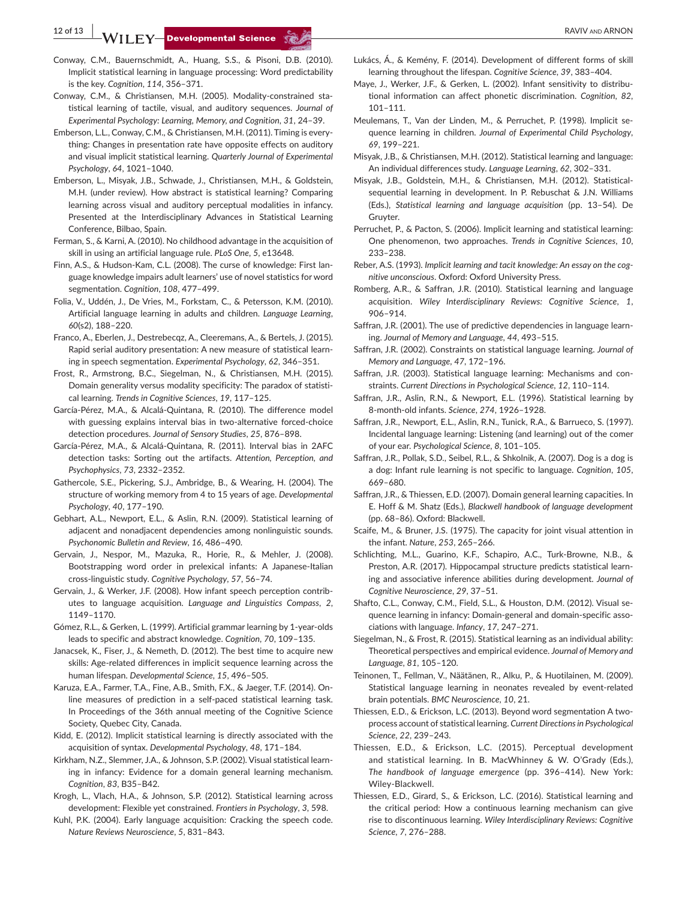**12 of 13 a** RAVIV and ARNON RAVIV and ARNON

- Conway, C.M., Bauernschmidt, A., Huang, S.S., & Pisoni, D.B. (2010). Implicit statistical learning in language processing: Word predictability is the key. *Cognition*, *114*, 356–371.
- Conway, C.M., & Christiansen, M.H. (2005). Modality-constrained statistical learning of tactile, visual, and auditory sequences. *Journal of Experimental Psychology: Learning, Memory, and Cognition*, *31*, 24–39.
- Emberson, L.L., Conway, C.M., & Christiansen, M.H. (2011). Timing is everything: Changes in presentation rate have opposite effects on auditory and visual implicit statistical learning. *Quarterly Journal of Experimental Psychology*, *64*, 1021–1040.
- Emberson, L., Misyak, J.B., Schwade, J., Christiansen, M.H., & Goldstein, M.H. (under review). How abstract is statistical learning? Comparing learning across visual and auditory perceptual modalities in infancy. Presented at the Interdisciplinary Advances in Statistical Learning Conference, Bilbao, Spain.
- Ferman, S., & Karni, A. (2010). No childhood advantage in the acquisition of skill in using an artificial language rule. *PLoS One*, *5*, e13648.
- Finn, A.S., & Hudson-Kam, C.L. (2008). The curse of knowledge: First language knowledge impairs adult learners' use of novel statistics for word segmentation. *Cognition*, *108*, 477–499.
- Folia, V., Uddén, J., De Vries, M., Forkstam, C., & Petersson, K.M. (2010). Artificial language learning in adults and children. *Language Learning*, *60*(s2), 188–220.
- Franco, A., Eberlen, J., Destrebecqz, A., Cleeremans, A., & Bertels, J. (2015). Rapid serial auditory presentation: A new measure of statistical learning in speech segmentation. *Experimental Psychology*, *62*, 346–351.
- Frost, R., Armstrong, B.C., Siegelman, N., & Christiansen, M.H. (2015). Domain generality versus modality specificity: The paradox of statistical learning. *Trends in Cognitive Sciences*, *19*, 117–125.
- García-Pérez, M.A., & Alcalá-Quintana, R. (2010). The difference model with guessing explains interval bias in two-alternative forced-choice detection procedures. *Journal of Sensory Studies*, *25*, 876–898.
- García-Pérez, M.A., & Alcalá-Quintana, R. (2011). Interval bias in 2AFC detection tasks: Sorting out the artifacts. *Attention, Perception, and Psychophysics*, *73*, 2332–2352.
- Gathercole, S.E., Pickering, S.J., Ambridge, B., & Wearing, H. (2004). The structure of working memory from 4 to 15 years of age. *Developmental Psychology*, *40*, 177–190.
- Gebhart, A.L., Newport, E.L., & Aslin, R.N. (2009). Statistical learning of adjacent and nonadjacent dependencies among nonlinguistic sounds. *Psychonomic Bulletin and Review*, *16*, 486–490.
- Gervain, J., Nespor, M., Mazuka, R., Horie, R., & Mehler, J. (2008). Bootstrapping word order in prelexical infants: A Japanese-Italian cross-linguistic study. *Cognitive Psychology*, *57*, 56–74.
- Gervain, J., & Werker, J.F. (2008). How infant speech perception contributes to language acquisition. *Language and Linguistics Compass*, *2*, 1149–1170.
- Gómez, R.L., & Gerken, L. (1999). Artificial grammar learning by 1-year-olds leads to specific and abstract knowledge. *Cognition*, *70*, 109–135.
- Janacsek, K., Fiser, J., & Nemeth, D. (2012). The best time to acquire new skills: Age-related differences in implicit sequence learning across the human lifespan. *Developmental Science*, *15*, 496–505.
- Karuza, E.A., Farmer, T.A., Fine, A.B., Smith, F.X., & Jaeger, T.F. (2014). Online measures of prediction in a self-paced statistical learning task. In Proceedings of the 36th annual meeting of the Cognitive Science Society, Quebec City, Canada.
- Kidd, E. (2012). Implicit statistical learning is directly associated with the acquisition of syntax. *Developmental Psychology*, *48*, 171–184.
- Kirkham, N.Z., Slemmer, J.A., & Johnson, S.P. (2002). Visual statistical learning in infancy: Evidence for a domain general learning mechanism. *Cognition*, *83*, B35–B42.
- Krogh, L., Vlach, H.A., & Johnson, S.P. (2012). Statistical learning across development: Flexible yet constrained. *Frontiers in Psychology*, *3*, 598.
- Kuhl, P.K. (2004). Early language acquisition: Cracking the speech code. *Nature Reviews Neuroscience*, *5*, 831–843.
- Lukács, Á., & Kemény, F. (2014). Development of different forms of skill learning throughout the lifespan. *Cognitive Science*, *39*, 383–404.
- Maye, J., Werker, J.F., & Gerken, L. (2002). Infant sensitivity to distributional information can affect phonetic discrimination. *Cognition*, *82*, 101–111.
- Meulemans, T., Van der Linden, M., & Perruchet, P. (1998). Implicit sequence learning in children. *Journal of Experimental Child Psychology*, *69*, 199–221.
- Misyak, J.B., & Christiansen, M.H. (2012). Statistical learning and language: An individual differences study. *Language Learning*, *62*, 302–331.
- Misyak, J.B., Goldstein, M.H., & Christiansen, M.H. (2012). Statisticalsequential learning in development. In P. Rebuschat & J.N. Williams (Eds.), *Statistical learning and language acquisition* (pp. 13–54). De Gruyter.
- Perruchet, P., & Pacton, S. (2006). Implicit learning and statistical learning: One phenomenon, two approaches. *Trends in Cognitive Sciences*, *10*, 233–238.
- Reber, A.S. (1993). *Implicit learning and tacit knowledge: An essay on the cognitive unconscious*. Oxford: Oxford University Press.
- Romberg, A.R., & Saffran, J.R. (2010). Statistical learning and language acquisition. *Wiley Interdisciplinary Reviews: Cognitive Science*, *1*, 906–914.
- Saffran, J.R. (2001). The use of predictive dependencies in language learning. *Journal of Memory and Language*, *44*, 493–515.
- Saffran, J.R. (2002). Constraints on statistical language learning. *Journal of Memory and Language*, *47*, 172–196.
- Saffran, J.R. (2003). Statistical language learning: Mechanisms and constraints. *Current Directions in Psychological Science*, *12*, 110–114.
- Saffran, J.R., Aslin, R.N., & Newport, E.L. (1996). Statistical learning by 8-month-old infants. *Science*, *274*, 1926–1928.
- Saffran, J.R., Newport, E.L., Aslin, R.N., Tunick, R.A., & Barrueco, S. (1997). Incidental language learning: Listening (and learning) out of the comer of your ear. *Psychological Science*, *8*, 101–105.
- Saffran, J.R., Pollak, S.D., Seibel, R.L., & Shkolnik, A. (2007). Dog is a dog is a dog: Infant rule learning is not specific to language. *Cognition*, *105*, 669–680.
- Saffran, J.R., & Thiessen, E.D. (2007). Domain general learning capacities. In E. Hoff & M. Shatz (Eds.), *Blackwell handbook of language development* (pp. 68–86). Oxford: Blackwell.
- Scaife, M., & Bruner, J.S. (1975). The capacity for joint visual attention in the infant. *Nature*, *253*, 265–266.
- Schlichting, M.L., Guarino, K.F., Schapiro, A.C., Turk-Browne, N.B., & Preston, A.R. (2017). Hippocampal structure predicts statistical learning and associative inference abilities during development. *Journal of Cognitive Neuroscience*, *29*, 37–51.
- Shafto, C.L., Conway, C.M., Field, S.L., & Houston, D.M. (2012). Visual sequence learning in infancy: Domain-general and domain-specific associations with language. *Infancy*, *17*, 247–271.
- Siegelman, N., & Frost, R. (2015). Statistical learning as an individual ability: Theoretical perspectives and empirical evidence. *Journal of Memory and Language*, *81*, 105–120.
- Teinonen, T., Fellman, V., Näätänen, R., Alku, P., & Huotilainen, M. (2009). Statistical language learning in neonates revealed by event-related brain potentials. *BMC Neuroscience*, *10*, 21.
- Thiessen, E.D., & Erickson, L.C. (2013). Beyond word segmentation A twoprocess account of statistical learning. *Current Directions in Psychological Science*, *22*, 239–243.
- Thiessen, E.D., & Erickson, L.C. (2015). Perceptual development and statistical learning. In B. MacWhinney & W. O'Grady (Eds.), *The handbook of language emergence* (pp. 396–414). New York: Wiley-Blackwell.
- Thiessen, E.D., Girard, S., & Erickson, L.C. (2016). Statistical learning and the critical period: How a continuous learning mechanism can give rise to discontinuous learning. *Wiley Interdisciplinary Reviews: Cognitive Science*, *7*, 276–288.